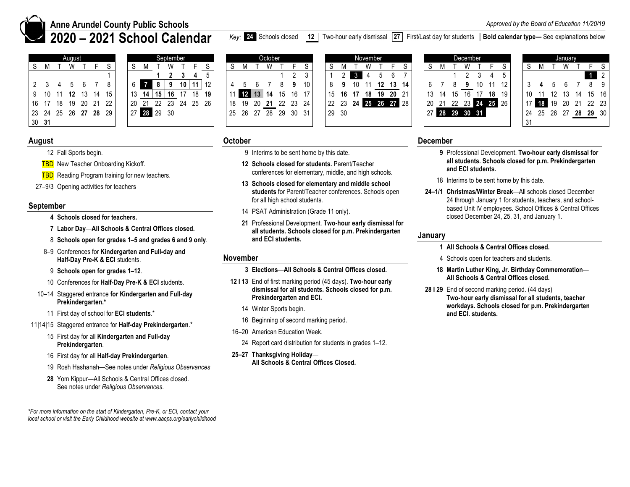

# **Anne Arundel County Public Schools**

**2020 – 2021 School Calendar** 

|                      |       | August |             |       |    |  |         |             |                 | September |                   |     |  |  | October              |       |    |       |          | November |    |                      |       |       |       |    | December |                |                |    |     |  | January |    |                      |                |
|----------------------|-------|--------|-------------|-------|----|--|---------|-------------|-----------------|-----------|-------------------|-----|--|--|----------------------|-------|----|-------|----------|----------|----|----------------------|-------|-------|-------|----|----------|----------------|----------------|----|-----|--|---------|----|----------------------|----------------|
|                      |       |        |             |       |    |  |         |             |                 |           |                   |     |  |  |                      |       |    |       |          | w        |    |                      |       |       |       |    |          |                |                |    |     |  |         |    |                      | F S            |
|                      |       |        |             |       |    |  |         |             |                 |           |                   |     |  |  |                      |       |    |       | 3.       |          |    |                      |       |       |       |    |          |                |                |    |     |  |         |    |                      | $\overline{2}$ |
|                      |       |        |             |       |    |  |         |             | 9               |           | $10$ 11           | 12  |  |  |                      |       | 10 |       |          |          | 12 |                      | 13 14 |       |       |    |          | 10             |                |    |     |  |         |    | 89                   |                |
| 9 10                 | 11 12 |        |             | 13 14 | 15 |  | 13   14 | 15 I        | 16 <sub>1</sub> | 17        | 18                | 19  |  |  | 11 12 13 14 15       | 16    |    |       | 15 16 17 |          |    | 18 19 20 21          |       |       | 13 14 | 15 | -16      |                | 18             | 19 |     |  |         | 14 | 15 16                |                |
| 16 17                | 18    |        | 19 20 21 22 |       |    |  |         |             |                 |           | 20 21 22 23 24 25 | -26 |  |  | 18 19 20 21 22 23 24 |       |    |       |          |          |    | 22 23 24 25 26 27 28 |       | 20 21 |       |    |          |                | 22 23 24 25 26 |    |     |  |         |    | 17 18 19 20 21 22 23 |                |
| 23 24 25 26 27 28 29 |       |        |             |       |    |  |         | 27 28 29 30 |                 |           |                   |     |  |  | 25 26 27 28 29       | 30 31 |    | 29 30 |          |          |    |                      |       |       |       |    |          | 27 28 29 30 31 |                |    | -24 |  |         |    | 25 26 27 28 29 30    |                |
| 30 31                |       |        |             |       |    |  |         |             |                 |           |                   |     |  |  |                      |       |    |       |          |          |    |                      |       |       |       |    |          |                |                |    | -31 |  |         |    |                      |                |

| August   |  |    |    |         |       | September   |     |                 |    |    |                   |      | October |    |    |          |       |    |                      | November |    |    |    |    |                |    | December |       |       |    |    |       |       | <b>January</b> |    |           |                |
|----------|--|----|----|---------|-------|-------------|-----|-----------------|----|----|-------------------|------|---------|----|----|----------|-------|----|----------------------|----------|----|----|----|----|----------------|----|----------|-------|-------|----|----|-------|-------|----------------|----|-----------|----------------|
| W        |  |    |    |         |       |             |     |                 |    |    |                   |      |         |    |    |          |       |    |                      |          |    |    |    |    |                |    |          |       |       |    |    |       |       |                |    |           |                |
|          |  |    |    |         |       |             |     |                 |    |    |                   |      |         |    |    |          |       |    |                      |          |    |    |    |    |                |    |          |       |       |    |    |       |       |                |    |           | $\overline{2}$ |
| 5 6      |  |    |    |         |       |             | 10  | 11 <sub>1</sub> |    |    |                   |      |         |    |    |          |       |    | 10                   |          |    |    | 14 |    |                |    |          | 10    |       |    |    |       |       |                |    |           | - 9            |
| 12 13 14 |  | 15 |    | 13   14 | 15    | 16          |     | 18              | 19 |    | $\blacksquare$ 12 |      | 14      |    | 16 |          | 15    | 16 | 17                   | 18       | 19 | 20 |    |    | 14             |    |          |       | 18    | 19 |    |       |       |                | 14 | $15 \t10$ |                |
| 19 20 21 |  | 22 | 20 | - 21    | 22 23 |             | -24 | 25              | 26 | 18 | 19                | - 20 | -21     |    |    | 22 23 24 |       |    | 22 23 24 25 26 27 28 |          |    |    |    | 20 |                | 22 |          | 23 24 | 25 26 |    | 17 | 18 19 |       | -20            | 21 | 22 23     |                |
| 26 27 28 |  | 29 |    |         |       | 27 28 29 30 |     |                 |    | 25 | 26 27             |      | 28      | 29 | 30 | - 31     | 29 30 |    |                      |          |    |    |    |    | 27 28 29 30 31 |    |          |       |       |    | 24 | 25    | 26 27 |                |    | 28 29 30  |                |
|          |  |    |    |         |       |             |     |                 |    |    |                   |      |         |    |    |          |       |    |                      |          |    |    |    |    |                |    |          |       |       |    |    |       |       |                |    |           |                |

|    |    |    | )ctober            |    |    |    |
|----|----|----|--------------------|----|----|----|
| S  |    |    |                    |    |    | S  |
|    |    |    |                    |    | 2  | 3  |
|    | 5  | 6  |                    | 8  |    | 10 |
| 11 | 12 | 13 | 14                 | 15 | 16 |    |
| 18 | 19 | 20 | $\frac{21}{22}$ 22 |    | 23 | 24 |
| 25 | 26 | 27 | 28                 | 29 | 30 | 31 |
|    |    |    |                    |    |    |    |

|         |                |    | November |         |    |    |
|---------|----------------|----|----------|---------|----|----|
| S       | М              |    |          |         | F  | S  |
| 1       | $\overline{2}$ | ۹  | 4        | 5       | 6  |    |
| 8       | 9              | 10 | 11       | 12      | 13 | 14 |
| 5       | 16             | 17 | 18       | 19      | 20 | 21 |
| $^{22}$ | 23             | 24 |          | $25$ 26 | 27 | 28 |
| 29      | 30             |    |          |         |    |    |
|         |                |    |          |         |    |    |

|    |    |    | December |    |    |    |
|----|----|----|----------|----|----|----|
| S  | м  |    |          |    | F  | S  |
|    |    |    | 2        | 3  |    | 5  |
| 6  |    | 8  | 9        | 10 | 11 | 12 |
| 13 | 14 | 15 | 16       | 17 | 18 | 19 |
| 20 | 21 | 22 | 23       | 24 | 25 | 26 |
| 27 | 28 | 29 | 30       | 31 |    |    |
|    |    |    |          |    |    |    |

|    |    |    | lanuary |    |    |                |
|----|----|----|---------|----|----|----------------|
| S  | M  |    |         |    |    | S              |
|    |    |    |         |    |    | $\overline{2}$ |
|    |    |    | 6       |    | 8  | g              |
| 10 |    | 12 | 13      | 14 | 15 | 16             |
| 17 | 18 | 19 | 20      | 21 | 22 | 23             |
| 24 | 25 | 26 | 27      | 28 | 29 | 30             |
|    |    |    |         |    |    |                |

# **August**

- 12 Fall Sports begin.
- **TBD** New Teacher Onboarding Kickoff.
- **TBD** Reading Program training for new teachers.
- 27–9/3 Opening activities for teachers

## **September**

- **4 Schools closed for teachers.**
- **7 Labor Day**—**All Schools & Central Offices closed.**
- 8 **Schools open for grades 1–5 and grades 6 and 9 only**.
- 8–9 Conferences for **Kindergarten and Full-day and Half-Day Pre-K & ECI** students.
- 9 **Schools open for grades 1–12**.
- 10 Conferences for **Half-Day Pre-K & ECI** students.
- 10–14 Staggered entrance **for Kindergarten and Full-day Prekindergarten.\***
	- 11 First day of school for **ECI students**.\*
- 11|14|15 Staggered entrance for **Half-day Prekindergarten**.\*
	- 15 First day for all **Kindergarten and Full-day Prekindergarten**.
	- 16 First day for all **Half-day Prekindergarten**.
	- 19 Rosh Hashanah—See notes under *Religious Observances*
	- **28** Yom Kippur—All Schools & Central Offices closed. See notes under *Religious Observances*.

*\*For more information on the start of Kindergarten, Pre-K, or ECI, contact your local school or visit the Early Childhood website at www.aacps.org/earlychildhood*

# **October**

- 9 Interims to be sent home by this date.
- **12 Schools closed for students.** Parent/Teacher conferences for elementary, middle, and high schools.
- **13 Schools closed for elementary and middle school students** for Parent/Teacher conferences. Schools open for all high school students.
- 14 PSAT Administration (Grade 11 only).
- **21** Professional Development. **Two-hour early dismissal for all students. Schools closed for p.m. Prekindergarten and ECI students.**

# **November**

## **3 Elections**—**All Schools & Central Offices closed.**

- **12 Ι 13** End of first marking period (45 days). **Two-hour early dismissal for all students. Schools closed for p.m. Prekindergarten and ECI.**
	- 14 Winter Sports begin.
	- 16 Beginning of second marking period.
- 16–20 American Education Week.
	- 24 Report card distribution for students in grades 1–12.
- **25–27 Thanksgiving Holiday All Schools & Central Offices Closed.**

# **December**

- **9** Professional Development. **Two-hour early dismissal for all students. Schools closed for p.m. Prekindergarten and ECI students.**
- 18 Interims to be sent home by this date.
- **24–1/1 Christmas/Winter Break**—All schools closed December 24 through January 1 for students, teachers, and schoolbased Unit IV employees. School Offices & Central Offices closed December 24, 25, 31, and January 1.

# **January**

- **1 All Schools & Central Offices closed.**
- 4 Schools open for teachers and students.
- **18 Martin Luther King, Jr. Birthday Commemoration All Schools & Central Offices closed.**
- **28 Ι 29** End of second marking period. (44 days) **Two-hour early dismissal for all students, teacher workdays. Schools closed for p.m. Prekindergarten and ECI. students.**

*Key:* **24** Schools closed **12** Two-hour early dismissal **27** First/Last day for students **Bold calendar type—** See explanations below